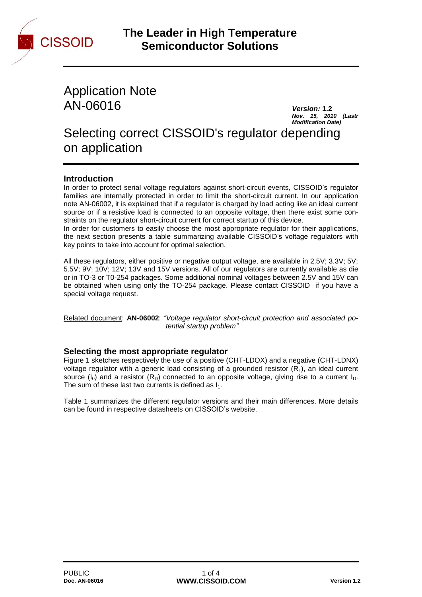

Application Note AN-06016 *Version:* **1.2**

*Nov. 15, 2010 (Lastr Modification Date)*

Selecting correct CISSOID's regulator depending on application

# **Introduction**

In order to protect serial voltage regulators against short-circuit events, CISSOID's regulator families are internally protected in order to limit the short-circuit current. In our application note AN-06002, it is explained that if a regulator is charged by load acting like an ideal current source or if a resistive load is connected to an opposite voltage, then there exist some constraints on the regulator short-circuit current for correct startup of this device.

In order for customers to easily choose the most appropriate regulator for their applications, the next section presents a table summarizing available CISSOID's voltage regulators with key points to take into account for optimal selection.

All these regulators, either positive or negative output voltage, are available in 2.5V; 3.3V; 5V; 5.5V; 9V; 10V; 12V; 13V and 15V versions. All of our regulators are currently available as die or in TO-3 or T0-254 packages. Some additional nominal voltages between 2.5V and 15V can be obtained when using only the TO-254 package. Please contact CISSOID if you have a special voltage request.

Related document: **AN-06002**: *"Voltage regulator short-circuit protection and associated potential startup problem"*

# **Selecting the most appropriate regulator**

Figure 1 sketches respectively the use of a positive (CHT-LDOX) and a negative (CHT-LDNX) voltage regulator with a generic load consisting of a grounded resistor  $(R<sub>L</sub>)$ , an ideal current source ( $I_0$ ) and a resistor ( $R_D$ ) connected to an opposite voltage, giving rise to a current  $I_D$ . The sum of these last two currents is defined as  $I_1$ .

Table 1 summarizes the different regulator versions and their main differences. More details can be found in respective datasheets on CISSOID's website.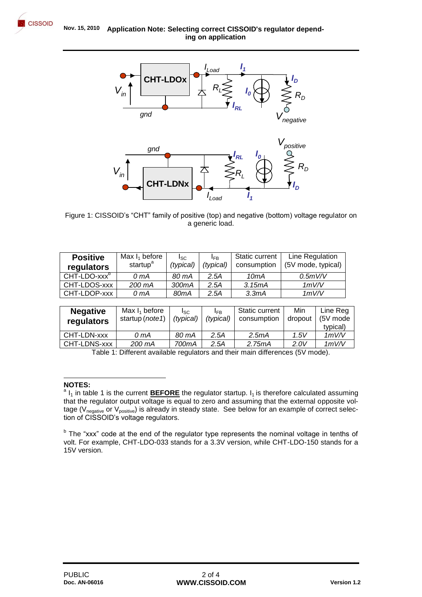



Figure 1: CISSOID's "CHT" family of positive (top) and negative (bottom) voltage regulator on a generic load.

| <b>Positive</b><br>regulators | Max $I_1$ before<br>startup <sup>a</sup> | l <sub>SC</sub><br>(typical) | <b>IFB</b><br>(typical) | <b>Static current</b><br>consumption | Line Regulation<br>(5V mode, typical) |
|-------------------------------|------------------------------------------|------------------------------|-------------------------|--------------------------------------|---------------------------------------|
| CHT-LDO-xxx <sup>b</sup>      | $0 \text{ mA}$                           | 80 mA                        | 2.5A                    | 10mA                                 | 0.5mV/V                               |
| CHT-LDOS-xxx                  | 200 mA                                   | 300mA                        | 2.5A                    | 3.15mA                               | 1mV/V                                 |
| CHT-LDOP-xxx                  | 0 mA                                     | 80 <sub>m</sub> A            | 2.5A                    | 3.3 <sub>m</sub> A                   | 1mV/V                                 |

| <b>Negative</b><br>regulators | Max $I_1$ before<br>startup ( <i>note1</i> ) | <sub>sc</sub><br>(typical) | <b>IFB</b><br>(typical) | Static current<br>consumption | Min<br>dropout | Line Reg<br>(5V mode<br>typical) |
|-------------------------------|----------------------------------------------|----------------------------|-------------------------|-------------------------------|----------------|----------------------------------|
| CHT-LDN-xxx                   | 0 mA                                         | 80 mA                      | 2.5A                    | 2.5 <sub>m</sub> A            | 1.5V           | 1mV/V                            |
| CHT-LDNS-xxx                  | 200 mA                                       | 700mA                      | 2.5A                    | 2.75mA                        | 2.0V           | 1mV/V                            |

Table 1: Different available regulators and their main differences (5V mode).

#### **NOTES:**

l

<sup>&</sup>lt;sup>a</sup> I<sub>1</sub> in table 1 is the current **BEFORE** the regulator startup. I<sub>1</sub> is therefore calculated assuming that the regulator output voltage is equal to zero and assuming that the external opposite voltage (V<sub>negative</sub> or V<sub>positive</sub>) is already in steady state. See below for an example of correct selection of CISSOID's voltage regulators.

<sup>&</sup>lt;sup>b</sup> The "xxx" code at the end of the regulator type represents the nominal voltage in tenths of volt. For example, CHT-LDO-033 stands for a 3.3V version, while CHT-LDO-150 stands for a 15V version.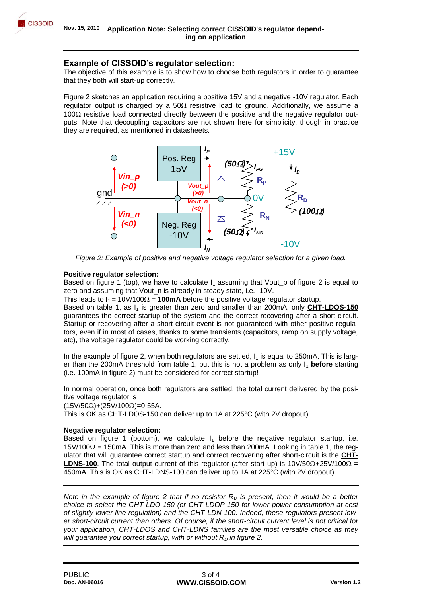

# **Example of CISSOID's regulator selection:**

The objective of this example is to show how to choose both regulators in order to guarantee that they both will start-up correctly.

Figure 2 sketches an application requiring a positive 15V and a negative -10V regulator. Each regulator output is charged by a  $50\Omega$  resistive load to ground. Additionally, we assume a  $100\Omega$  resistive load connected directly between the positive and the negative regulator outputs. Note that decoupling capacitors are not shown here for simplicity, though in practice they are required, as mentioned in datasheets.



*Figure 2: Example of positive and negative voltage regulator selection for a given load.*

### **Positive regulator selection:**

Based on figure 1 (top), we have to calculate  $I_1$  assuming that Vout p of figure 2 is equal to zero and assuming that Vout\_n is already in steady state, i.e. -10V.

This leads to  $I_1 = 10V/100\Omega = 100 \text{mA}$  before the positive voltage regulator startup.

Based on table 1, as I<sub>1</sub> is greater than zero and smaller than 200mA, only **CHT-LDOS-150** guarantees the correct startup of the system and the correct recovering after a short-circuit. Startup or recovering after a short-circuit event is not guaranteed with other positive regulators, even if in most of cases, thanks to some transients (capacitors, ramp on supply voltage, etc), the voltage regulator could be working correctly.

In the example of figure 2, when both regulators are settled,  $I<sub>1</sub>$  is equal to 250mA. This is larger than the 200mA threshold from table 1, but this is not a problem as only  $I_1$  **before** starting (i.e. 100mA in figure 2) must be considered for correct startup!

In normal operation, once both regulators are settled, the total current delivered by the positive voltage regulator is

 $(15V/50\Omega) + (25V/100\Omega) = 0.55A$ .

This is OK as CHT-LDOS-150 can deliver up to 1A at 225°C (with 2V dropout)

### **Negative regulator selection:**

Based on figure 1 (bottom), we calculate  $I_1$  before the negative regulator startup, i.e.  $15\frac{V}{100\Omega}$  = 150mA. This is more than zero and less than 200mA. Looking in table 1, the regulator that will guarantee correct startup and correct recovering after short-circuit is the **CHT-LDNS-100.** The total output current of this regulator (after start-up) is 10V/50 $\Omega$ +25V/100 $\Omega$  = 450mA. This is OK as CHT-LDNS-100 can deliver up to 1A at 225°C (with 2V dropout).

*Note in the example of figure 2 that if no resistor*  $R<sub>D</sub>$  *is present, then it would be a better choice to select the CHT-LDO-150 (or CHT-LDOP-150 for lower power consumption at cost of slightly lower line regulation) and the CHT-LDN-100. Indeed, these regulators present lower short-circuit current than others. Of course, if the short-circuit current level is not critical for your application, CHT-LDOS and CHT-LDNS families are the most versatile choice as they will guarantee you correct startup, with or without*  $R<sub>D</sub>$  *in figure 2.*